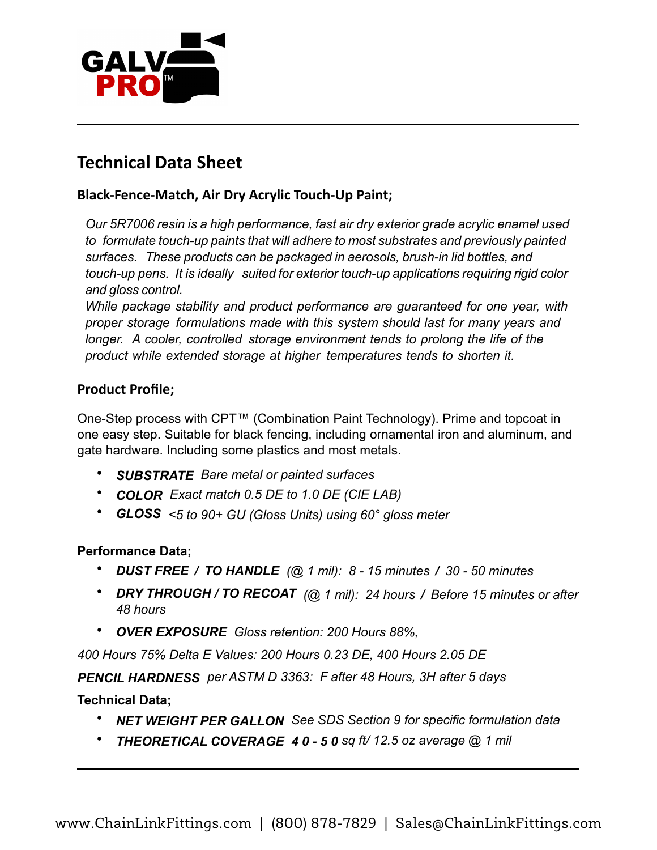

## **Technical Data Sheet**

## **Black-Fence-Match, Air Dry Acrylic Touch-Up Paint;**

*Our 5R7006 resin is a high performance, fast air dry exterior grade acrylic enamel used to formulate touch-up paints that will adhere to most substrates and previously painted surfaces. These products can be packaged in aerosols, brush-in lid bottles, and touch-up pens. It is ideally suited for exterior touch-up applications requiring rigid color and gloss control.*

*While package stability and product performance are guaranteed for one year, with proper storage formulations made with this system should last for many years and longer. A cooler, controlled storage environment tends to prolong the life of the product while extended storage at higher temperatures tends to shorten it.* 

## **Product Profile;**

One-Step process with CPT™ (Combination Paint Technology). Prime and topcoat in one easy step. Suitable for black fencing, including ornamental iron and aluminum, and gate hardware. Including some plastics and most metals.

- *SUBSTRATE Bare metal or painted surfaces*
- *COLOR Exact match 0.5 DE to 1.0 DE (CIE LAB)*
- *GLOSS <5 to 90+ GU (Gloss Units) using 60° gloss meter*

## **Performance Data;**

- *DUST FREE / TO HANDLE (@ 1 mil): 8 - 15 minutes / 30 - 50 minutes*
- *DRY THROUGH / TO RECOAT (@ 1 mil): 24 hours / Before 15 minutes or after 48 hours*
- *OVER EXPOSURE Gloss retention: 200 Hours 88%,*

*400 Hours 75% Delta E Values: 200 Hours 0.23 DE, 400 Hours 2.05 DE*

*PENCIL HARDNESS per ASTM D 3363: F after 48 Hours, 3H after 5 days* 

**Technical Data;** 

- *NET WEIGHT PER GALLON See SDS Section 9 for specific formulation data*
- *THEORETICAL COVERAGE 40-50 sq ft/ 12.5 oz average @ 1 mil*